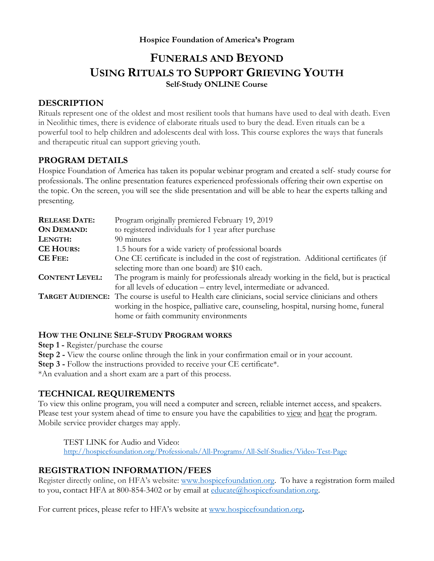### **Hospice Foundation of America's Program**

# **FUNERALS AND BEYOND USING RITUALS TO SUPPORT GRIEVING YOUTH Self-Study ONLINE Course**

# **DESCRIPTION**

Rituals represent one of the oldest and most resilient tools that humans have used to deal with death. Even in Neolithic times, there is evidence of elaborate rituals used to bury the dead. Even rituals can be a powerful tool to help children and adolescents deal with loss. This course explores the ways that funerals and therapeutic ritual can support grieving youth.

### **PROGRAM DETAILS**

Hospice Foundation of America has taken its popular webinar program and created a self- study course for professionals. The online presentation features experienced professionals offering their own expertise on the topic. On the screen, you will see the slide presentation and will be able to hear the experts talking and presenting.

| <b>RELEASE DATE:</b>  | Program originally premiered February 19, 2019                                                                                                                                                                                               |
|-----------------------|----------------------------------------------------------------------------------------------------------------------------------------------------------------------------------------------------------------------------------------------|
| <b>ON DEMAND:</b>     | to registered individuals for 1 year after purchase                                                                                                                                                                                          |
| LENGTH:               | 90 minutes                                                                                                                                                                                                                                   |
| <b>CE HOURS:</b>      | 1.5 hours for a wide variety of professional boards                                                                                                                                                                                          |
| <b>CE FEE:</b>        | One CE certificate is included in the cost of registration. Additional certificates (if<br>selecting more than one board) are \$10 each.                                                                                                     |
| <b>CONTENT LEVEL:</b> | The program is mainly for professionals already working in the field, but is practical<br>for all levels of education - entry level, intermediate or advanced.                                                                               |
|                       | <b>TARGET AUDIENCE:</b> The course is useful to Health care clinicians, social service clinicians and others<br>working in the hospice, palliative care, counseling, hospital, nursing home, funeral<br>home or faith community environments |

### **HOW THE ONLINE SELF-STUDY PROGRAM WORKS**

**Step 1 -** Register/purchase the course

**Step 2 -** View the course online through the link in your confirmation email or in your account.

**Step 3** - Follow the instructions provided to receive your CE certificate\*.

\*An evaluation and a short exam are a part of this process.

# **TECHNICAL REQUIREMENTS**

To view this online program, you will need a computer and screen, reliable internet access, and speakers. Please test your system ahead of time to ensure you have the capabilities to view and hear the program. Mobile service provider charges may apply.

TEST LINK for Audio and Video: http://hospicefoundation.org/Professionals/All-Programs/All-Self-Studies/Video-Test-Page

# **REGISTRATION INFORMATION/FEES**

Register directly online, on HFA's website: www.hospicefoundation.org. To have a registration form mailed to you, contact HFA at 800-854-3402 or by email at  $\frac{educte(a)$  hospice foundation.org.

For current prices, please refer to HFA's website at www.hospicefoundation.org**.**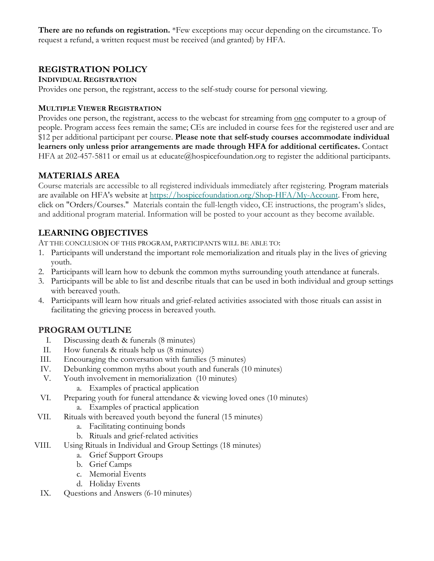**There are no refunds on registration.** \*Few exceptions may occur depending on the circumstance. To request a refund, a written request must be received (and granted) by HFA.

# **REGISTRATION POLICY**

### **INDIVIDUAL REGISTRATION**

Provides one person, the registrant, access to the self-study course for personal viewing.

### **MULTIPLE VIEWER REGISTRATION**

Provides one person, the registrant, access to the webcast for streaming from one computer to a group of people. Program access fees remain the same; CEs are included in course fees for the registered user and are \$12 per additional participant per course. **Please note that self-study courses accommodate individual learners only unless prior arrangements are made through HFA for additional certificates.** Contact HFA at 202-457-5811 or email us at educate@hospicefoundation.org to register the additional participants.

# **MATERIALS AREA**

Course materials are accessible to all registered individuals immediately after registering. Program materials are available on HFA's website at https://hospicefoundation.org/Shop-HFA/My-Account. From here, click on "Orders/Courses." Materials contain the full-length video, CE instructions, the program's slides, and additional program material. Information will be posted to your account as they become available.

# **LEARNING OBJECTIVES**

AT THE CONCLUSION OF THIS PROGRAM, PARTICIPANTS WILL BE ABLE TO:

- 1. Participants will understand the important role memorialization and rituals play in the lives of grieving youth.
- 2. Participants will learn how to debunk the common myths surrounding youth attendance at funerals.
- 3. Participants will be able to list and describe rituals that can be used in both individual and group settings with bereaved youth.
- 4. Participants will learn how rituals and grief-related activities associated with those rituals can assist in facilitating the grieving process in bereaved youth.

# **PROGRAM OUTLINE**

- I. Discussing death & funerals (8 minutes)
- II. How funerals & rituals help us (8 minutes)
- III. Encouraging the conversation with families (5 minutes)
- IV. Debunking common myths about youth and funerals (10 minutes)
- V. Youth involvement in memorialization (10 minutes)
	- a. Examples of practical application
- VI. Preparing youth for funeral attendance & viewing loved ones (10 minutes) a. Examples of practical application
- VII. Rituals with bereaved youth beyond the funeral (15 minutes)
	- a. Facilitating continuing bonds
	- b. Rituals and grief-related activities
- VIII. Using Rituals in Individual and Group Settings (18 minutes)
	- a. Grief Support Groups
	- b. Grief Camps
	- c. Memorial Events
	- d. Holiday Events
- IX. Questions and Answers (6-10 minutes)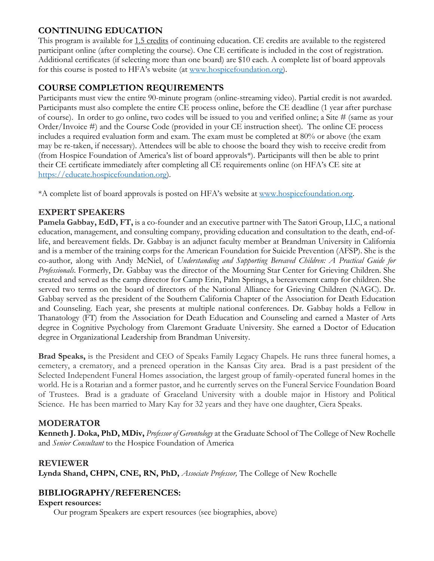# **CONTINUING EDUCATION**

This program is available for 1.5 credits of continuing education. CE credits are available to the registered participant online (after completing the course). One CE certificate is included in the cost of registration. Additional certificates (if selecting more than one board) are \$10 each. A complete list of board approvals for this course is posted to HFA's website (at www.hospicefoundation.org).

# **COURSE COMPLETION REQUIREMENTS**

Participants must view the entire 90-minute program (online-streaming video). Partial credit is not awarded. Participants must also complete the entire CE process online, before the CE deadline (1 year after purchase of course). In order to go online, two codes will be issued to you and verified online; a Site # (same as your Order/Invoice #) and the Course Code (provided in your CE instruction sheet). The online CE process includes a required evaluation form and exam. The exam must be completed at 80% or above (the exam may be re-taken, if necessary). Attendees will be able to choose the board they wish to receive credit from (from Hospice Foundation of America's list of board approvals\*). Participants will then be able to print their CE certificate immediately after completing all CE requirements online (on HFA's CE site at https://educate.hospicefoundation.org).

\*A complete list of board approvals is posted on HFA's website at www.hospicefoundation.org.

# **EXPERT SPEAKERS**

**Pamela Gabbay, EdD, FT,** is a co-founder and an executive partner with The Satori Group, LLC, a national education, management, and consulting company, providing education and consultation to the death, end-oflife, and bereavement fields. Dr. Gabbay is an adjunct faculty member at Brandman University in California and is a member of the training corps for the American Foundation for Suicide Prevention (AFSP). She is the co-author, along with Andy McNiel, of *Understanding and Supporting Bereaved Children: A Practical Guide for Professionals*. Formerly, Dr. Gabbay was the director of the Mourning Star Center for Grieving Children. She created and served as the camp director for Camp Erin, Palm Springs, a bereavement camp for children. She served two terms on the board of directors of the National Alliance for Grieving Children (NAGC). Dr. Gabbay served as the president of the Southern California Chapter of the Association for Death Education and Counseling. Each year, she presents at multiple national conferences. Dr. Gabbay holds a Fellow in Thanatology (FT) from the Association for Death Education and Counseling and earned a Master of Arts degree in Cognitive Psychology from Claremont Graduate University. She earned a Doctor of Education degree in Organizational Leadership from Brandman University.

**Brad Speaks,** is the President and CEO of Speaks Family Legacy Chapels. He runs three funeral homes, a cemetery, a crematory, and a preneed operation in the Kansas City area. Brad is a past president of the Selected Independent Funeral Homes association, the largest group of family-operated funeral homes in the world. He is a Rotarian and a former pastor, and he currently serves on the Funeral Service Foundation Board of Trustees. Brad is a graduate of Graceland University with a double major in History and Political Science. He has been married to Mary Kay for 32 years and they have one daughter, Ciera Speaks.

# **MODERATOR**

**Kenneth J. Doka, PhD, MDiv,** *Professor of Gerontology* at the Graduate School of The College of New Rochelle and *Senior Consultant* to the Hospice Foundation of America

# **REVIEWER**

**Lynda Shand, CHPN, CNE, RN, PhD,** *Associate Professor,* The College of New Rochelle

# **BIBLIOGRAPHY/REFERENCES:**

### **Expert resources:**

Our program Speakers are expert resources (see biographies, above)